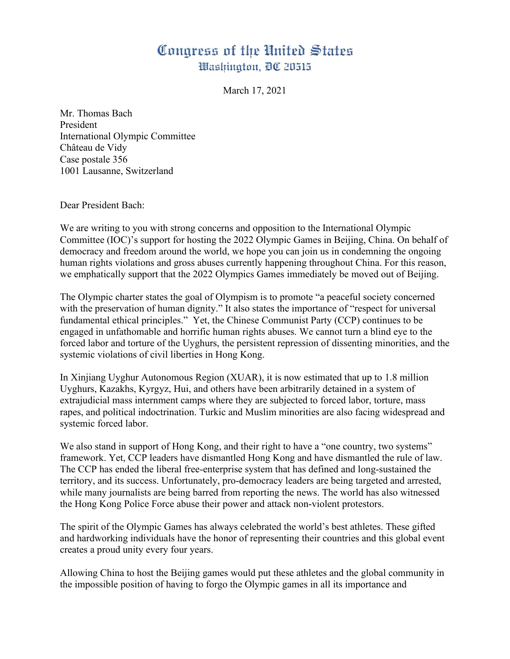## Congress of the United States Washington, DC 20515

March 17, 2021

Mr. Thomas Bach President International Olympic Committee Château de Vidy Case postale 356 1001 Lausanne, Switzerland

Dear President Bach:

We are writing to you with strong concerns and opposition to the International Olympic Committee (IOC)'s support for hosting the 2022 Olympic Games in Beijing, China. On behalf of democracy and freedom around the world, we hope you can join us in condemning the ongoing human rights violations and gross abuses currently happening throughout China. For this reason, we emphatically support that the 2022 Olympics Games immediately be moved out of Beijing.

The Olympic charter states the goal of Olympism is to promote "a peaceful society concerned with the preservation of human dignity." It also states the importance of "respect for universal fundamental ethical principles." Yet, the Chinese Communist Party (CCP) continues to be engaged in unfathomable and horrific human rights abuses. We cannot turn a blind eye to the forced labor and torture of the Uyghurs, the persistent repression of dissenting minorities, and the systemic violations of civil liberties in Hong Kong.

In Xinjiang Uyghur Autonomous Region (XUAR), it is now estimated that up to 1.8 million Uyghurs, Kazakhs, Kyrgyz, Hui, and others have been arbitrarily detained in a system of extrajudicial mass internment camps where they are subjected to forced labor, torture, mass rapes, and political indoctrination. Turkic and Muslim minorities are also facing widespread and systemic forced labor.

We also stand in support of Hong Kong, and their right to have a "one country, two systems" framework. Yet, CCP leaders have dismantled Hong Kong and have dismantled the rule of law. The CCP has ended the liberal free-enterprise system that has defined and long-sustained the territory, and its success. Unfortunately, pro-democracy leaders are being targeted and arrested, while many journalists are being barred from reporting the news. The world has also witnessed the Hong Kong Police Force abuse their power and attack non-violent protestors.

The spirit of the Olympic Games has always celebrated the world's best athletes. These gifted and hardworking individuals have the honor of representing their countries and this global event creates a proud unity every four years.

Allowing China to host the Beijing games would put these athletes and the global community in the impossible position of having to forgo the Olympic games in all its importance and